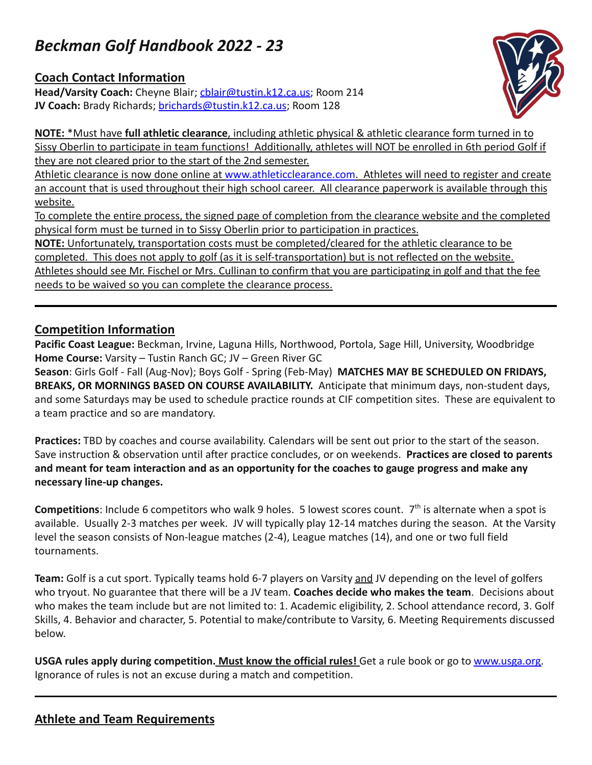## *Beckman Golf Handbook 2022 - 23*

## **Coach Contact Information**

**Head/Varsity Coach:** Cheyne Blair; [cblair@tustin.k12.ca.us;](mailto:cblair@tustin.k12.ca.us) Room 214 **JV Coach:** Brady Richards; [brichards@tustin.k12.ca.us](mailto:brichards@tustin.k12.ca.us); Room 128



**NOTE:** \*Must have **full athletic clearance**, including athletic physical & athletic clearance form turned in to Sissy Oberlin to participate in team functions! Additionally, athletes will NOT be enrolled in 6th period Golf if they are not cleared prior to the start of the 2nd semester.

Athletic clearance is now done online at [www.athleticclearance.com.](http://www.athleticclearance.com) Athletes will need to register and create an account that is used throughout their high school career. All clearance paperwork is available through this website.

To complete the entire process, the signed page of completion from the clearance website and the completed physical form must be turned in to Sissy Oberlin prior to participation in practices.

**NOTE:** Unfortunately, transportation costs must be completed/cleared for the athletic clearance to be completed. This does not apply to golf (as it is self-transportation) but is not reflected on the website. Athletes should see Mr. Fischel or Mrs. Cullinan to confirm that you are participating in golf and that the fee needs to be waived so you can complete the clearance process.

## **Competition Information**

**Pacific Coast League:** Beckman, Irvine, Laguna Hills, Northwood, Portola, Sage Hill, University, Woodbridge **Home Course:** Varsity – Tustin Ranch GC; JV – Green River GC

**Season**: Girls Golf - Fall (Aug-Nov); Boys Golf - Spring (Feb-May) **MATCHES MAY BE SCHEDULED ON FRIDAYS, BREAKS, OR MORNINGS BASED ON COURSE AVAILABILITY.** Anticipate that minimum days, non-student days, and some Saturdays may be used to schedule practice rounds at CIF competition sites. These are equivalent to a team practice and so are mandatory.

**Practices:** TBD by coaches and course availability. Calendars will be sent out prior to the start of the season. Save instruction & observation until after practice concludes, or on weekends. **Practices are closed to parents and meant for team interaction and as an opportunity for the coaches to gauge progress and make any necessary line-up changes.**

Competitions: Include 6 competitors who walk 9 holes. 5 lowest scores count. 7<sup>th</sup> is alternate when a spot is available. Usually 2-3 matches per week. JV will typically play 12-14 matches during the season. At the Varsity level the season consists of Non-league matches (2-4), League matches (14), and one or two full field tournaments.

**Team:** Golf is a cut sport. Typically teams hold 6-7 players on Varsity and JV depending on the level of golfers who tryout. No guarantee that there will be a JV team. **Coaches decide who makes the team**. Decisions about who makes the team include but are not limited to: 1. Academic eligibility, 2. School attendance record, 3. Golf Skills, 4. Behavior and character, 5. Potential to make/contribute to Varsity, 6. Meeting Requirements discussed below.

**USGA rules apply during competition. Must know the official rules!** Get a rule book or go to [www.usga.org.](http://www.usga.org) Ignorance of rules is not an excuse during a match and competition.

## **Athlete and Team Requirements**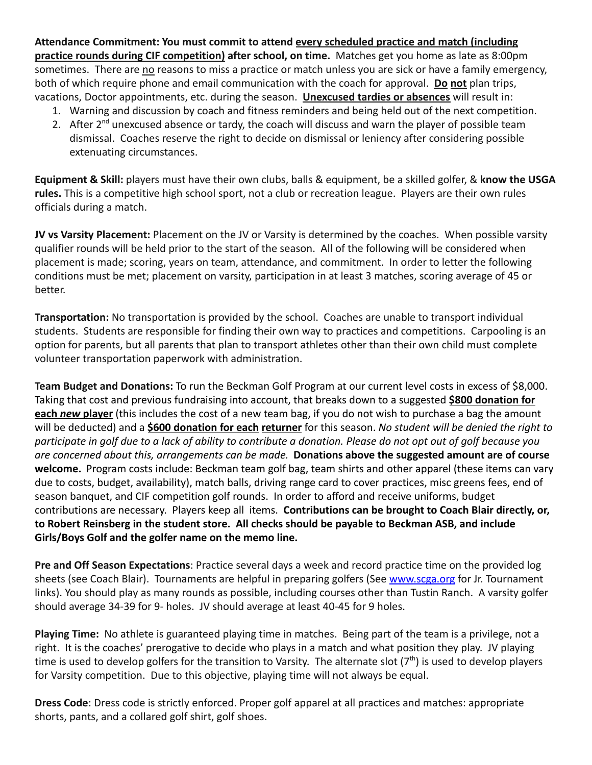**Attendance Commitment: You must commit to attend every scheduled practice and match (including practice rounds during CIF competition) after school, on time.** Matches get you home as late as 8:00pm sometimes. There are no reasons to miss a practice or match unless you are sick or have a family emergency, both of which require phone and email communication with the coach for approval. **Do not** plan trips, vacations, Doctor appointments, etc. during the season. **Unexcused tardies or absences** will result in:

- 1. Warning and discussion by coach and fitness reminders and being held out of the next competition.
- 2. After 2<sup>nd</sup> unexcused absence or tardy, the coach will discuss and warn the player of possible team dismissal. Coaches reserve the right to decide on dismissal or leniency after considering possible extenuating circumstances.

**Equipment & Skill:** players must have their own clubs, balls & equipment, be a skilled golfer, & **know the USGA rules.** This is a competitive high school sport, not a club or recreation league. Players are their own rules officials during a match.

**JV vs Varsity Placement:** Placement on the JV or Varsity is determined by the coaches. When possible varsity qualifier rounds will be held prior to the start of the season. All of the following will be considered when placement is made; scoring, years on team, attendance, and commitment. In order to letter the following conditions must be met; placement on varsity, participation in at least 3 matches, scoring average of 45 or better.

**Transportation:** No transportation is provided by the school. Coaches are unable to transport individual students. Students are responsible for finding their own way to practices and competitions. Carpooling is an option for parents, but all parents that plan to transport athletes other than their own child must complete volunteer transportation paperwork with administration.

**Team Budget and Donations:** To run the Beckman Golf Program at our current level costs in excess of \$8,000. Taking that cost and previous fundraising into account, that breaks down to a suggested **\$800 donation for each** *new* **player** (this includes the cost of a new team bag, if you do not wish to purchase a bag the amount will be deducted) and a **\$600 donation for each returner** for this season. *No student will be denied the right to participate in golf due to a lack of ability to contribute a donation. Please do not opt out of golf because you are concerned about this, arrangements can be made.* **Donations above the suggested amount are of course welcome.** Program costs include: Beckman team golf bag, team shirts and other apparel (these items can vary due to costs, budget, availability), match balls, driving range card to cover practices, misc greens fees, end of season banquet, and CIF competition golf rounds. In order to afford and receive uniforms, budget contributions are necessary. Players keep all items. **Contributions can be brought to Coach Blair directly, or, to Robert Reinsberg in the student store. All checks should be payable to Beckman ASB, and include Girls/Boys Golf and the golfer name on the memo line.**

**Pre and Off Season Expectations**: Practice several days a week and record practice time on the provided log sheets (see Coach Blair). Tournaments are helpful in preparing golfers (See [www.scga.org](http://www.scga.org) for Jr. Tournament links). You should play as many rounds as possible, including courses other than Tustin Ranch. A varsity golfer should average 34-39 for 9- holes. JV should average at least 40-45 for 9 holes.

**Playing Time:** No athlete is guaranteed playing time in matches. Being part of the team is a privilege, not a right. It is the coaches' prerogative to decide who plays in a match and what position they play. JV playing time is used to develop golfers for the transition to Varsity. The alternate slot (7<sup>th</sup>) is used to develop players for Varsity competition. Due to this objective, playing time will not always be equal.

**Dress Code**: Dress code is strictly enforced. Proper golf apparel at all practices and matches: appropriate shorts, pants, and a collared golf shirt, golf shoes.